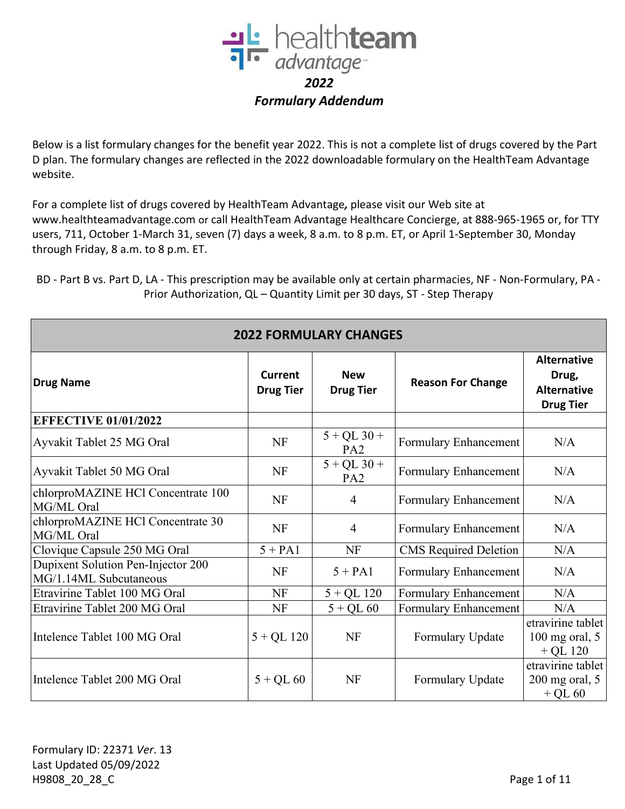

Below is a list formulary changes for the benefit year 2022. This is not a complete list of drugs covered by the Part D plan. The formulary changes are reflected in the 2022 downloadable formulary on the HealthTeam Advantage website.

For a complete list of drugs covered by HealthTeam Advantage*,* please visit our Web site at www.healthteamadvantage.com or call HealthTeam Advantage Healthcare Concierge, at 888-965-1965 or, for TTY users, 711, October 1-March 31, seven (7) days a week, 8 a.m. to 8 p.m. ET, or April 1-September 30, Monday through Friday, 8 a.m. to 8 p.m. ET.

BD - Part B vs. Part D, LA - This prescription may be available only at certain pharmacies, NF - Non-Formulary, PA - Prior Authorization, QL – Quantity Limit per 30 days, ST - Step Therapy

| <b>2022 FORMULARY CHANGES</b>                                |                                    |                                  |                              |                                                                       |  |
|--------------------------------------------------------------|------------------------------------|----------------------------------|------------------------------|-----------------------------------------------------------------------|--|
| <b>Drug Name</b>                                             | <b>Current</b><br><b>Drug Tier</b> | <b>New</b><br><b>Drug Tier</b>   | <b>Reason For Change</b>     | <b>Alternative</b><br>Drug,<br><b>Alternative</b><br><b>Drug Tier</b> |  |
| <b>EFFECTIVE 01/01/2022</b>                                  |                                    |                                  |                              |                                                                       |  |
| Ayvakit Tablet 25 MG Oral                                    | NF                                 | $5 + QL$ 30 +<br>PA <sub>2</sub> | Formulary Enhancement        | N/A                                                                   |  |
| Ayvakit Tablet 50 MG Oral                                    | <b>NF</b>                          | $5 + QL$ 30 +<br>PA <sub>2</sub> | Formulary Enhancement        | N/A                                                                   |  |
| chlorproMAZINE HCl Concentrate 100<br>MG/ML Oral             | NF                                 | $\overline{4}$                   | Formulary Enhancement        | N/A                                                                   |  |
| chlorproMAZINE HCl Concentrate 30<br>MG/ML Oral              | <b>NF</b>                          | $\overline{4}$                   | Formulary Enhancement        | N/A                                                                   |  |
| Clovique Capsule 250 MG Oral                                 | $5 + PA1$                          | <b>NF</b>                        | <b>CMS</b> Required Deletion | N/A                                                                   |  |
| Dupixent Solution Pen-Injector 200<br>MG/1.14ML Subcutaneous | NF                                 | $5 + PA1$                        | Formulary Enhancement        | N/A                                                                   |  |
| Etravirine Tablet 100 MG Oral                                | NF                                 | $5 + QL$ 120                     | Formulary Enhancement        | N/A                                                                   |  |
| Etravirine Tablet 200 MG Oral                                | NF                                 | $5 + QL 60$                      | Formulary Enhancement        | N/A                                                                   |  |
| Intelence Tablet 100 MG Oral                                 | $5 + QL$ 120                       | NF                               | Formulary Update             | etravirine tablet<br>$100$ mg oral, $5$<br>$+$ QL 120                 |  |
| Intelence Tablet 200 MG Oral                                 | $5 + QL 60$                        | <b>NF</b>                        | Formulary Update             | etravirine tablet<br>$200$ mg oral, $5$<br>$+$ QL 60                  |  |

**2022 FORMULARY CHANGES**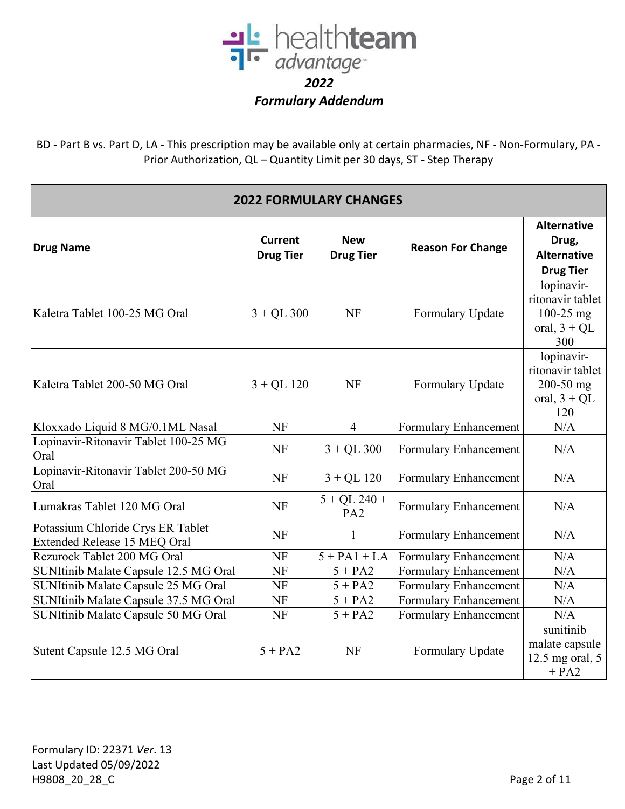

BD - Part B vs. Part D, LA - This prescription may be available only at certain pharmacies, NF - Non-Formulary, PA - Prior Authorization, QL – Quantity Limit per 30 days, ST - Step Therapy

| <b>2022 FORMULARY CHANGES</b>                                     |                                    |                                   |                          |                                                                          |  |
|-------------------------------------------------------------------|------------------------------------|-----------------------------------|--------------------------|--------------------------------------------------------------------------|--|
| <b>Drug Name</b>                                                  | <b>Current</b><br><b>Drug Tier</b> | <b>New</b><br><b>Drug Tier</b>    | <b>Reason For Change</b> | <b>Alternative</b><br>Drug,<br><b>Alternative</b><br><b>Drug Tier</b>    |  |
| Kaletra Tablet 100-25 MG Oral                                     | $3 + QL$ 300                       | <b>NF</b>                         | Formulary Update         | lopinavir-<br>ritonavir tablet<br>$100-25$ mg<br>oral, $3 + QL$<br>300   |  |
| Kaletra Tablet 200-50 MG Oral                                     | $3 + QL$ 120                       | <b>NF</b>                         | Formulary Update         | lopinavir-<br>ritonavir tablet<br>$200 - 50$ mg<br>oral, $3 + QL$<br>120 |  |
| Kloxxado Liquid 8 MG/0.1ML Nasal                                  | <b>NF</b>                          | $\overline{4}$                    | Formulary Enhancement    | N/A                                                                      |  |
| Lopinavir-Ritonavir Tablet 100-25 MG<br>Oral                      | <b>NF</b>                          | $3 + QL$ 300                      | Formulary Enhancement    | N/A                                                                      |  |
| Lopinavir-Ritonavir Tablet 200-50 MG<br>Oral                      | <b>NF</b>                          | $3 + QL$ 120                      | Formulary Enhancement    | N/A                                                                      |  |
| Lumakras Tablet 120 MG Oral                                       | <b>NF</b>                          | $5 + QL$ 240 +<br>PA <sub>2</sub> | Formulary Enhancement    | N/A                                                                      |  |
| Potassium Chloride Crys ER Tablet<br>Extended Release 15 MEQ Oral | <b>NF</b>                          | 1                                 | Formulary Enhancement    | N/A                                                                      |  |
| Rezurock Tablet 200 MG Oral                                       | <b>NF</b>                          | $5 + PA1 + LA$                    | Formulary Enhancement    | N/A                                                                      |  |
| SUNItinib Malate Capsule 12.5 MG Oral                             | <b>NF</b>                          | $5 + PA2$                         | Formulary Enhancement    | N/A                                                                      |  |
| SUNItinib Malate Capsule 25 MG Oral                               | <b>NF</b>                          | $5 + PA2$                         | Formulary Enhancement    | N/A                                                                      |  |
| SUNItinib Malate Capsule 37.5 MG Oral                             | <b>NF</b>                          | $5 + PA2$                         | Formulary Enhancement    | N/A                                                                      |  |
| SUNItinib Malate Capsule 50 MG Oral                               | <b>NF</b>                          | $5 + PA2$                         | Formulary Enhancement    | N/A                                                                      |  |
| Sutent Capsule 12.5 MG Oral                                       | $5 + PA2$                          | <b>NF</b>                         | Formulary Update         | sunitinib<br>malate capsule<br>12.5 mg oral, 5<br>$+ PA2$                |  |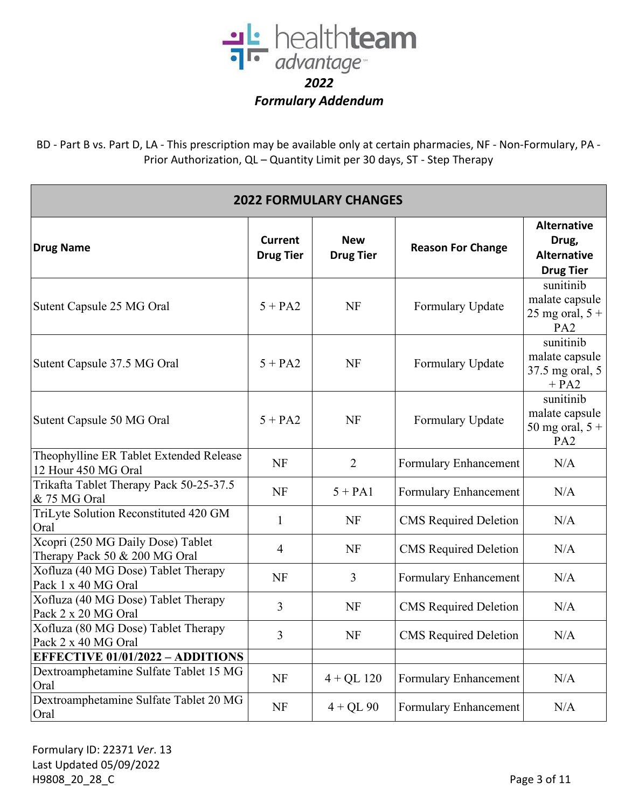

BD - Part B vs. Part D, LA - This prescription may be available only at certain pharmacies, NF - Non-Formulary, PA - Prior Authorization, QL – Quantity Limit per 30 days, ST - Step Therapy

| <b>2022 FORMULARY CHANGES</b>                                      |                                    |                                |                              |                                                                       |
|--------------------------------------------------------------------|------------------------------------|--------------------------------|------------------------------|-----------------------------------------------------------------------|
| <b>Drug Name</b>                                                   | <b>Current</b><br><b>Drug Tier</b> | <b>New</b><br><b>Drug Tier</b> | <b>Reason For Change</b>     | <b>Alternative</b><br>Drug,<br><b>Alternative</b><br><b>Drug Tier</b> |
| Sutent Capsule 25 MG Oral                                          | $5 + PA2$                          | <b>NF</b>                      | Formulary Update             | sunitinib<br>malate capsule<br>25 mg oral, $5 +$<br>PA <sub>2</sub>   |
| Sutent Capsule 37.5 MG Oral                                        | $5 + PA2$                          | <b>NF</b>                      | Formulary Update             | sunitinib<br>malate capsule<br>37.5 mg oral, 5<br>$+ PA2$             |
| Sutent Capsule 50 MG Oral                                          | $5 + PA2$                          | <b>NF</b>                      | Formulary Update             | sunitinib<br>malate capsule<br>50 mg oral, $5 +$<br>PA <sub>2</sub>   |
| Theophylline ER Tablet Extended Release<br>12 Hour 450 MG Oral     | <b>NF</b>                          | $\overline{2}$                 | Formulary Enhancement        | N/A                                                                   |
| Trikafta Tablet Therapy Pack 50-25-37.5<br>& 75 MG Oral            | <b>NF</b>                          | $5 + PA1$                      | Formulary Enhancement        | N/A                                                                   |
| TriLyte Solution Reconstituted 420 GM<br>Oral                      | $\mathbf{1}$                       | <b>NF</b>                      | <b>CMS</b> Required Deletion | N/A                                                                   |
| Xcopri (250 MG Daily Dose) Tablet<br>Therapy Pack 50 & 200 MG Oral | 4                                  | <b>NF</b>                      | <b>CMS</b> Required Deletion | N/A                                                                   |
| Xofluza (40 MG Dose) Tablet Therapy<br>Pack 1 x 40 MG Oral         | <b>NF</b>                          | $\overline{3}$                 | Formulary Enhancement        | N/A                                                                   |
| Xofluza (40 MG Dose) Tablet Therapy<br>Pack 2 x 20 MG Oral         | 3                                  | <b>NF</b>                      | <b>CMS</b> Required Deletion | N/A                                                                   |
| Xofluza (80 MG Dose) Tablet Therapy<br>Pack 2 x 40 MG Oral         | 3                                  | <b>NF</b>                      | <b>CMS</b> Required Deletion | N/A                                                                   |
| <b>EFFECTIVE 01/01/2022 - ADDITIONS</b>                            |                                    |                                |                              |                                                                       |
| Dextroamphetamine Sulfate Tablet 15 MG<br>Oral                     | NF                                 | $4 + QL$ 120                   | Formulary Enhancement        | N/A                                                                   |
| Dextroamphetamine Sulfate Tablet 20 MG<br>Oral                     | NF                                 | $4 + QL$ 90                    | Formulary Enhancement        | N/A                                                                   |

Formulary ID: 22371 *Ver*. 13 Last Updated 05/09/2022 H9808\_20\_28\_C Page 3 of 11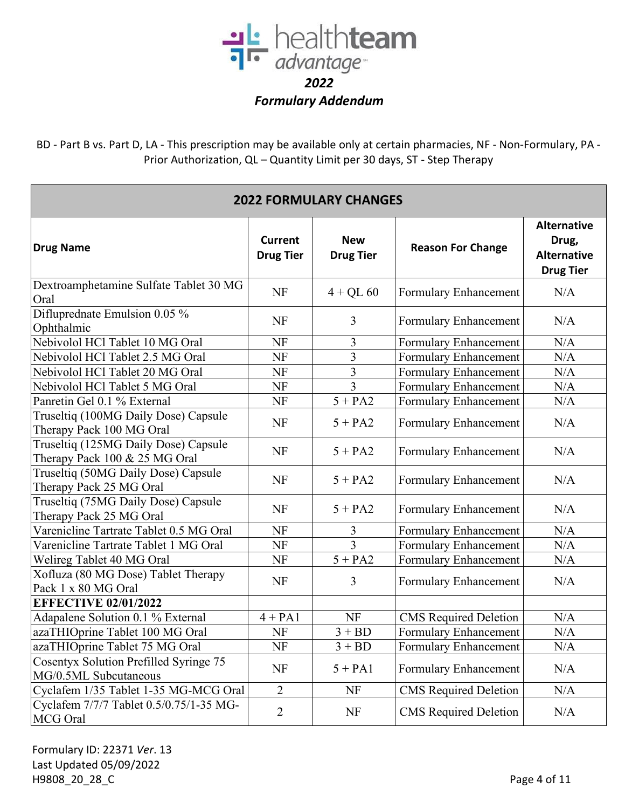

BD - Part B vs. Part D, LA - This prescription may be available only at certain pharmacies, NF - Non-Formulary, PA - Prior Authorization, QL – Quantity Limit per 30 days, ST - Step Therapy

| <b>2022 FORMULARY CHANGES</b>                                         |                                    |                                |                              |                                                                       |
|-----------------------------------------------------------------------|------------------------------------|--------------------------------|------------------------------|-----------------------------------------------------------------------|
| <b>Drug Name</b>                                                      | <b>Current</b><br><b>Drug Tier</b> | <b>New</b><br><b>Drug Tier</b> | <b>Reason For Change</b>     | <b>Alternative</b><br>Drug,<br><b>Alternative</b><br><b>Drug Tier</b> |
| Dextroamphetamine Sulfate Tablet 30 MG<br>Oral                        | <b>NF</b>                          | $4 + QL 60$                    | Formulary Enhancement        | N/A                                                                   |
| Difluprednate Emulsion 0.05 %<br>Ophthalmic                           | <b>NF</b>                          | 3                              | Formulary Enhancement        | N/A                                                                   |
| Nebivolol HCl Tablet 10 MG Oral                                       | <b>NF</b>                          | 3                              | Formulary Enhancement        | N/A                                                                   |
| Nebivolol HCl Tablet 2.5 MG Oral                                      | <b>NF</b>                          | 3                              | Formulary Enhancement        | N/A                                                                   |
| Nebivolol HCl Tablet 20 MG Oral                                       | <b>NF</b>                          | 3                              | Formulary Enhancement        | N/A                                                                   |
| Nebivolol HCl Tablet 5 MG Oral                                        | NF                                 | 3                              | Formulary Enhancement        | N/A                                                                   |
| Panretin Gel 0.1 % External                                           | <b>NF</b>                          | $5 + PA2$                      | Formulary Enhancement        | N/A                                                                   |
| Truseltiq (100MG Daily Dose) Capsule<br>Therapy Pack 100 MG Oral      | <b>NF</b>                          | $5 + PA2$                      | Formulary Enhancement        | N/A                                                                   |
| Truseltiq (125MG Daily Dose) Capsule<br>Therapy Pack 100 & 25 MG Oral | <b>NF</b>                          | $5 + PA2$                      | Formulary Enhancement        | N/A                                                                   |
| Truseltiq (50MG Daily Dose) Capsule<br>Therapy Pack 25 MG Oral        | <b>NF</b>                          | $5 + PA2$                      | Formulary Enhancement        | N/A                                                                   |
| Truseltiq (75MG Daily Dose) Capsule<br>Therapy Pack 25 MG Oral        | <b>NF</b>                          | $5 + PA2$                      | Formulary Enhancement        | N/A                                                                   |
| Varenicline Tartrate Tablet 0.5 MG Oral                               | <b>NF</b>                          | 3                              | Formulary Enhancement        | N/A                                                                   |
| Varenicline Tartrate Tablet 1 MG Oral                                 | <b>NF</b>                          |                                | Formulary Enhancement        | N/A                                                                   |
| Welireg Tablet 40 MG Oral                                             | <b>NF</b>                          | $5 + PA2$                      | Formulary Enhancement        | N/A                                                                   |
| Xofluza (80 MG Dose) Tablet Therapy<br>Pack 1 x 80 MG Oral            | <b>NF</b>                          | 3                              | Formulary Enhancement        | N/A                                                                   |
| <b>EFFECTIVE 02/01/2022</b>                                           |                                    |                                |                              |                                                                       |
| Adapalene Solution 0.1 % External                                     | $4 + PA1$                          | <b>NF</b>                      | <b>CMS</b> Required Deletion | N/A                                                                   |
| azaTHIOprine Tablet 100 MG Oral                                       | NF                                 | $3 + BD$                       | Formulary Enhancement        | N/A                                                                   |
| azaTHIOprine Tablet 75 MG Oral                                        | NF                                 | $3 + BD$                       | Formulary Enhancement        | $\rm N/A$                                                             |
| Cosentyx Solution Prefilled Syringe 75<br>MG/0.5ML Subcutaneous       | NF                                 | $5 + PA1$                      | Formulary Enhancement        | N/A                                                                   |
| Cyclafem 1/35 Tablet 1-35 MG-MCG Oral                                 | $\overline{2}$                     | <b>NF</b>                      | <b>CMS</b> Required Deletion | N/A                                                                   |
| Cyclafem 7/7/7 Tablet 0.5/0.75/1-35 MG-<br>MCG Oral                   | $\overline{2}$                     | <b>NF</b>                      | <b>CMS</b> Required Deletion | N/A                                                                   |

Formulary ID: 22371 *Ver*. 13 Last Updated 05/09/2022 H9808\_20\_28\_C Page 4 of 11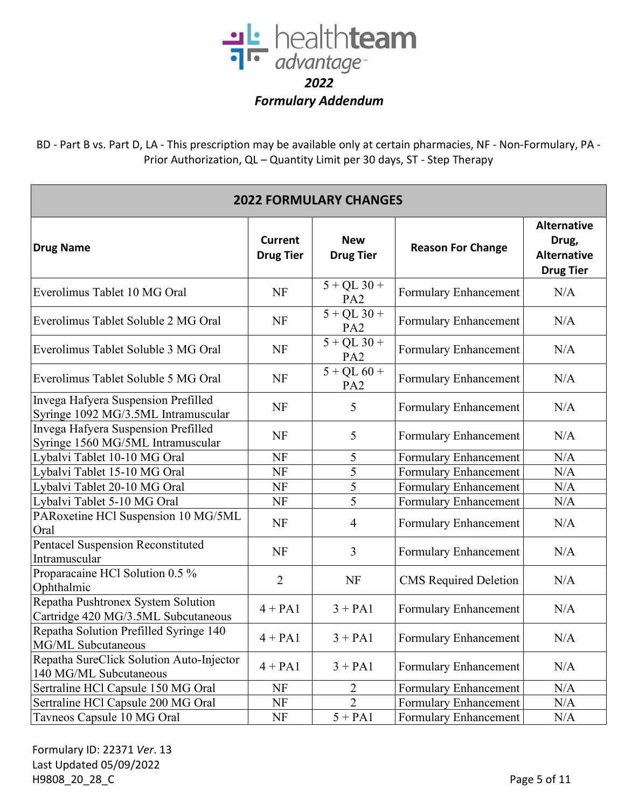

BD - Part B vs. Part D, LA - This prescription may be available only at certain pharmacies, NF - Non-Formulary, PA - Prior Authorization, QL – Quantity Limit per 30 days, ST - Step Therapy

| <b>2022 FORMULARY CHANGES</b>                                              |                                    |                                  |                              |                                                                       |  |
|----------------------------------------------------------------------------|------------------------------------|----------------------------------|------------------------------|-----------------------------------------------------------------------|--|
| <b>Drug Name</b>                                                           | <b>Current</b><br><b>Drug Tier</b> | <b>New</b><br><b>Drug Tier</b>   | <b>Reason For Change</b>     | <b>Alternative</b><br>Drug,<br><b>Alternative</b><br><b>Drug Tier</b> |  |
| Everolimus Tablet 10 MG Oral                                               | <b>NF</b>                          | $5 + QL$ 30 +<br>PA <sub>2</sub> | Formulary Enhancement        | N/A                                                                   |  |
| Everolimus Tablet Soluble 2 MG Oral                                        | NF                                 | $5 + QL$ 30 +<br>PA <sub>2</sub> | Formulary Enhancement        | N/A                                                                   |  |
| Everolimus Tablet Soluble 3 MG Oral                                        | <b>NF</b>                          | $5 + QL$ 30 +<br>PA <sub>2</sub> | Formulary Enhancement        | N/A                                                                   |  |
| Everolimus Tablet Soluble 5 MG Oral                                        | <b>NF</b>                          | $5 + QL 60 +$<br>PA <sub>2</sub> | Formulary Enhancement        | N/A                                                                   |  |
| Invega Hafyera Suspension Prefilled<br>Syringe 1092 MG/3.5ML Intramuscular | <b>NF</b>                          | 5                                | Formulary Enhancement        | N/A                                                                   |  |
| Invega Hafyera Suspension Prefilled<br>Syringe 1560 MG/5ML Intramuscular   | <b>NF</b>                          | 5                                | Formulary Enhancement        | N/A                                                                   |  |
| Lybalvi Tablet 10-10 MG Oral                                               | NF                                 | 5                                | Formulary Enhancement        | N/A                                                                   |  |
| Lybalvi Tablet 15-10 MG Oral                                               | NF                                 | 5                                | Formulary Enhancement        | N/A                                                                   |  |
| Lybalvi Tablet 20-10 MG Oral                                               | <b>NF</b>                          | 5                                | Formulary Enhancement        | N/A                                                                   |  |
| Lybalvi Tablet 5-10 MG Oral                                                | NF                                 | 5                                | Formulary Enhancement        | N/A                                                                   |  |
| PARoxetine HCl Suspension 10 MG/5ML<br>Oral                                | <b>NF</b>                          | $\overline{4}$                   | Formulary Enhancement        | N/A                                                                   |  |
| Pentacel Suspension Reconstituted<br>Intramuscular                         | <b>NF</b>                          | $\overline{3}$                   | Formulary Enhancement        | N/A                                                                   |  |
| Proparacaine HCl Solution 0.5 %<br>Ophthalmic                              | $\overline{2}$                     | <b>NF</b>                        | <b>CMS</b> Required Deletion | N/A                                                                   |  |
| Repatha Pushtronex System Solution<br>Cartridge 420 MG/3.5ML Subcutaneous  | $4 + PA1$                          | $3 + PA1$                        | Formulary Enhancement        | N/A                                                                   |  |
| Repatha Solution Prefilled Syringe 140<br>MG/ML Subcutaneous               | $4 + PA1$                          | $3 + PA1$                        | Formulary Enhancement        | N/A                                                                   |  |
| Repatha SureClick Solution Auto-Injector<br>140 MG/ML Subcutaneous         | $4 + PA1$                          | $3 + PA1$                        | Formulary Enhancement        | N/A                                                                   |  |
| Sertraline HCl Capsule 150 MG Oral                                         | <b>NF</b>                          | $\overline{2}$                   | Formulary Enhancement        | N/A                                                                   |  |
| Sertraline HCl Capsule 200 MG Oral                                         | <b>NF</b>                          | $\overline{2}$                   | Formulary Enhancement        | N/A                                                                   |  |
| Tavneos Capsule 10 MG Oral                                                 | NF                                 | $5 + PA1$                        | Formulary Enhancement        | N/A                                                                   |  |

Formulary ID: 22371 *Ver*. 13 Last Updated 05/09/2022 H9808\_20\_28\_C Page 5 of 11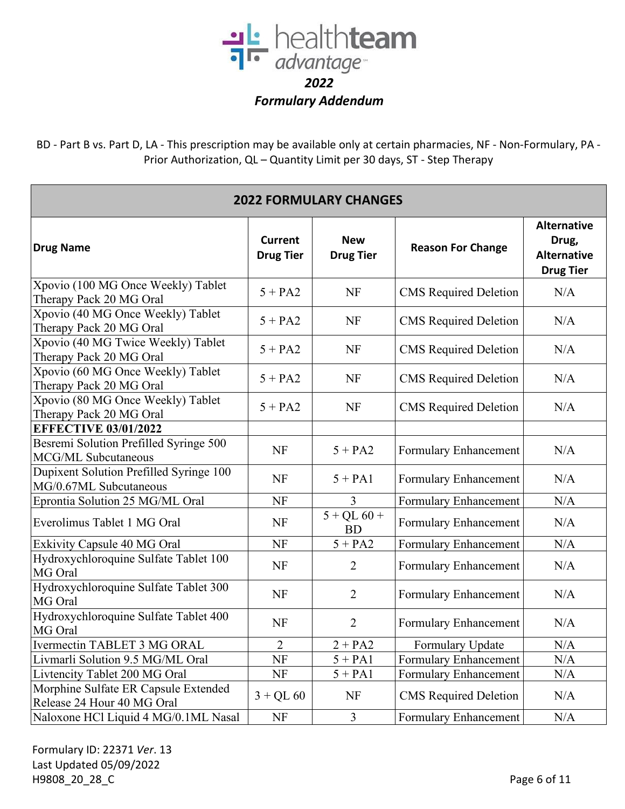

BD - Part B vs. Part D, LA - This prescription may be available only at certain pharmacies, NF - Non-Formulary, PA - Prior Authorization, QL – Quantity Limit per 30 days, ST - Step Therapy

| <b>2022 FORMULARY CHANGES</b>                                      |                                    |                                |                              |                                                                       |  |
|--------------------------------------------------------------------|------------------------------------|--------------------------------|------------------------------|-----------------------------------------------------------------------|--|
| <b>Drug Name</b>                                                   | <b>Current</b><br><b>Drug Tier</b> | <b>New</b><br><b>Drug Tier</b> | <b>Reason For Change</b>     | <b>Alternative</b><br>Drug,<br><b>Alternative</b><br><b>Drug Tier</b> |  |
| Xpovio (100 MG Once Weekly) Tablet<br>Therapy Pack 20 MG Oral      | $5 + PA2$                          | <b>NF</b>                      | <b>CMS</b> Required Deletion | N/A                                                                   |  |
| Xpovio (40 MG Once Weekly) Tablet<br>Therapy Pack 20 MG Oral       | $5 + PA2$                          | <b>NF</b>                      | <b>CMS</b> Required Deletion | N/A                                                                   |  |
| Xpovio (40 MG Twice Weekly) Tablet<br>Therapy Pack 20 MG Oral      | $5 + PA2$                          | <b>NF</b>                      | <b>CMS</b> Required Deletion | N/A                                                                   |  |
| Xpovio (60 MG Once Weekly) Tablet<br>Therapy Pack 20 MG Oral       | $5 + PA2$                          | <b>NF</b>                      | <b>CMS</b> Required Deletion | N/A                                                                   |  |
| Xpovio (80 MG Once Weekly) Tablet<br>Therapy Pack 20 MG Oral       | $5 + PA2$                          | <b>NF</b>                      | <b>CMS</b> Required Deletion | N/A                                                                   |  |
| <b>EFFECTIVE 03/01/2022</b>                                        |                                    |                                |                              |                                                                       |  |
| Besremi Solution Prefilled Syringe 500<br>MCG/ML Subcutaneous      | <b>NF</b>                          | $5 + PA2$                      | Formulary Enhancement        | N/A                                                                   |  |
| Dupixent Solution Prefilled Syringe 100<br>MG/0.67ML Subcutaneous  | <b>NF</b>                          | $5 + PA1$                      | Formulary Enhancement        | N/A                                                                   |  |
| Eprontia Solution 25 MG/ML Oral                                    | NF                                 | 3                              | Formulary Enhancement        | N/A                                                                   |  |
| Everolimus Tablet 1 MG Oral                                        | <b>NF</b>                          | $5 + QL 60 +$<br><b>BD</b>     | Formulary Enhancement        | N/A                                                                   |  |
| Exkivity Capsule 40 MG Oral                                        | NF                                 | $5 + PA2$                      | Formulary Enhancement        | N/A                                                                   |  |
| Hydroxychloroquine Sulfate Tablet 100<br>MG Oral                   | <b>NF</b>                          | $\overline{2}$                 | Formulary Enhancement        | N/A                                                                   |  |
| Hydroxychloroquine Sulfate Tablet 300<br>MG Oral                   | <b>NF</b>                          | $\overline{2}$                 | Formulary Enhancement        | N/A                                                                   |  |
| Hydroxychloroquine Sulfate Tablet 400<br>MG Oral                   | <b>NF</b>                          | $\overline{2}$                 | Formulary Enhancement        | N/A                                                                   |  |
| Ivermectin TABLET 3 MG ORAL                                        | $\overline{2}$                     | $2 + PA2$                      | Formulary Update             | N/A                                                                   |  |
| Livmarli Solution 9.5 MG/ML Oral                                   | <b>NF</b>                          | $5 + PA1$                      | Formulary Enhancement        | N/A                                                                   |  |
| Livtencity Tablet 200 MG Oral                                      | NF                                 | $5 + PA1$                      | <b>Formulary Enhancement</b> | N/A                                                                   |  |
| Morphine Sulfate ER Capsule Extended<br>Release 24 Hour 40 MG Oral | $3 + QL 60$                        | <b>NF</b>                      | <b>CMS</b> Required Deletion | N/A                                                                   |  |
| Naloxone HCl Liquid 4 MG/0.1ML Nasal                               | <b>NF</b>                          | 3                              | <b>Formulary Enhancement</b> | N/A                                                                   |  |

Formulary ID: 22371 *Ver*. 13 Last Updated 05/09/2022 H9808\_20\_28\_C Page 6 of 11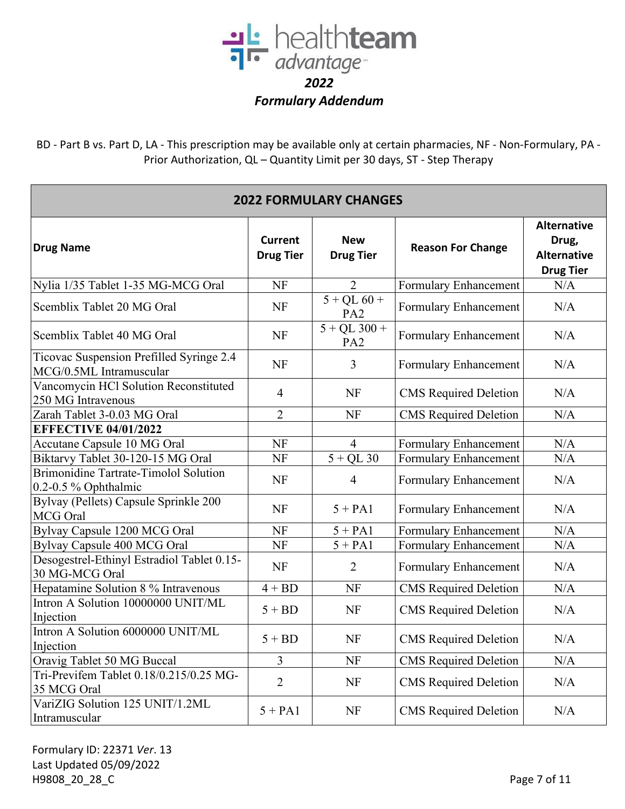

BD - Part B vs. Part D, LA - This prescription may be available only at certain pharmacies, NF - Non-Formulary, PA - Prior Authorization, QL – Quantity Limit per 30 days, ST - Step Therapy

| <b>2022 FORMULARY CHANGES</b>                                       |                             |                                   |                              |                                                                       |  |
|---------------------------------------------------------------------|-----------------------------|-----------------------------------|------------------------------|-----------------------------------------------------------------------|--|
| <b>Drug Name</b>                                                    | Current<br><b>Drug Tier</b> | <b>New</b><br><b>Drug Tier</b>    | <b>Reason For Change</b>     | <b>Alternative</b><br>Drug,<br><b>Alternative</b><br><b>Drug Tier</b> |  |
| Nylia 1/35 Tablet 1-35 MG-MCG Oral                                  | <b>NF</b>                   | $\overline{2}$                    | Formulary Enhancement        | N/A                                                                   |  |
| Scemblix Tablet 20 MG Oral                                          | <b>NF</b>                   | $5 + QL 60 +$<br>PA <sub>2</sub>  | Formulary Enhancement        | N/A                                                                   |  |
| Scemblix Tablet 40 MG Oral                                          | <b>NF</b>                   | $5 + QL$ 300 +<br>PA <sub>2</sub> | Formulary Enhancement        | N/A                                                                   |  |
| Ticovac Suspension Prefilled Syringe 2.4<br>MCG/0.5ML Intramuscular | <b>NF</b>                   | $\overline{3}$                    | Formulary Enhancement        | N/A                                                                   |  |
| Vancomycin HCl Solution Reconstituted<br>250 MG Intravenous         | $\overline{4}$              | NF                                | <b>CMS</b> Required Deletion | N/A                                                                   |  |
| Zarah Tablet 3-0.03 MG Oral                                         | $\overline{2}$              | <b>NF</b>                         | <b>CMS</b> Required Deletion | N/A                                                                   |  |
| <b>EFFECTIVE 04/01/2022</b>                                         |                             |                                   |                              |                                                                       |  |
| Accutane Capsule 10 MG Oral                                         | NF                          | $\overline{4}$                    | Formulary Enhancement        | N/A                                                                   |  |
| Biktarvy Tablet 30-120-15 MG Oral                                   | NF                          | $5 + QL$ 30                       | Formulary Enhancement        | N/A                                                                   |  |
| Brimonidine Tartrate-Timolol Solution<br>$0.2$ -0.5 % Ophthalmic    | <b>NF</b>                   | $\overline{4}$                    | Formulary Enhancement        | N/A                                                                   |  |
| Bylvay (Pellets) Capsule Sprinkle 200<br>MCG Oral                   | <b>NF</b>                   | $5 + PA1$                         | Formulary Enhancement        | N/A                                                                   |  |
| Bylvay Capsule 1200 MCG Oral                                        | <b>NF</b>                   | $5 + PA1$                         | Formulary Enhancement        | N/A                                                                   |  |
| Bylvay Capsule 400 MCG Oral                                         | NF                          | $5 + PA1$                         | Formulary Enhancement        | N/A                                                                   |  |
| Desogestrel-Ethinyl Estradiol Tablet 0.15-<br>30 MG-MCG Oral        | <b>NF</b>                   | $\overline{2}$                    | Formulary Enhancement        | N/A                                                                   |  |
| Hepatamine Solution 8 % Intravenous                                 | $4 + BD$                    | <b>NF</b>                         | <b>CMS</b> Required Deletion | N/A                                                                   |  |
| Intron A Solution 10000000 UNIT/ML<br>Injection                     | $5 + BD$                    | <b>NF</b>                         | <b>CMS</b> Required Deletion | N/A                                                                   |  |
| Intron A Solution 6000000 UNIT/ML<br>Injection                      | $5 + BD$                    | NF                                | <b>CMS</b> Required Deletion | N/A                                                                   |  |
| Oravig Tablet 50 MG Buccal                                          | 3                           | NF                                | <b>CMS</b> Required Deletion | N/A                                                                   |  |
| Tri-Previfem Tablet 0.18/0.215/0.25 MG-<br>35 MCG Oral              | $\overline{2}$              | <b>NF</b>                         | <b>CMS</b> Required Deletion | N/A                                                                   |  |
| VariZIG Solution 125 UNIT/1.2ML<br>Intramuscular                    | $5 + PA1$                   | NF                                | <b>CMS</b> Required Deletion | N/A                                                                   |  |

Formulary ID: 22371 *Ver*. 13 Last Updated 05/09/2022 H9808\_20\_28\_C Page 7 of 11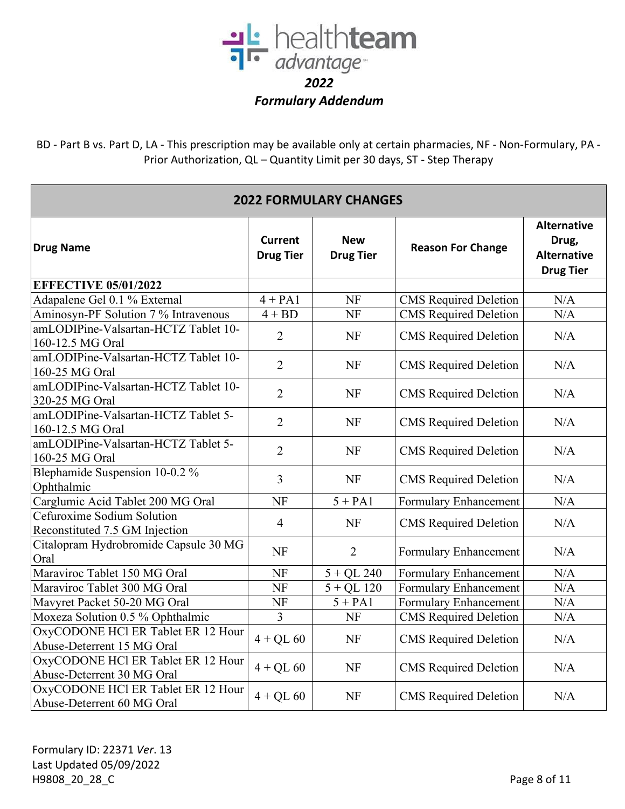

BD - Part B vs. Part D, LA - This prescription may be available only at certain pharmacies, NF - Non-Formulary, PA - Prior Authorization, QL – Quantity Limit per 30 days, ST - Step Therapy

| <b>2022 FORMULARY CHANGES</b>                                    |                                    |                                |                              |                                                                       |  |
|------------------------------------------------------------------|------------------------------------|--------------------------------|------------------------------|-----------------------------------------------------------------------|--|
| <b>Drug Name</b>                                                 | <b>Current</b><br><b>Drug Tier</b> | <b>New</b><br><b>Drug Tier</b> | <b>Reason For Change</b>     | <b>Alternative</b><br>Drug,<br><b>Alternative</b><br><b>Drug Tier</b> |  |
| <b>EFFECTIVE 05/01/2022</b>                                      |                                    |                                |                              |                                                                       |  |
| Adapalene Gel 0.1 % External                                     | $4 + PA1$                          | <b>NF</b>                      | <b>CMS</b> Required Deletion | N/A                                                                   |  |
| Aminosyn-PF Solution 7 % Intravenous                             | $4 + BD$                           | <b>NF</b>                      | <b>CMS</b> Required Deletion | N/A                                                                   |  |
| amLODIPine-Valsartan-HCTZ Tablet 10-<br>160-12.5 MG Oral         | $\overline{2}$                     | <b>NF</b>                      | <b>CMS</b> Required Deletion | N/A                                                                   |  |
| amLODIPine-Valsartan-HCTZ Tablet 10-<br>160-25 MG Oral           | $\overline{2}$                     | <b>NF</b>                      | <b>CMS</b> Required Deletion | N/A                                                                   |  |
| amLODIPine-Valsartan-HCTZ Tablet 10-<br>320-25 MG Oral           | $\overline{2}$                     | <b>NF</b>                      | <b>CMS</b> Required Deletion | N/A                                                                   |  |
| amLODIPine-Valsartan-HCTZ Tablet 5-<br>160-12.5 MG Oral          | $\overline{2}$                     | <b>NF</b>                      | <b>CMS</b> Required Deletion | N/A                                                                   |  |
| amLODIPine-Valsartan-HCTZ Tablet 5-<br>160-25 MG Oral            | $\overline{2}$                     | NF                             | <b>CMS</b> Required Deletion | N/A                                                                   |  |
| Blephamide Suspension 10-0.2 %<br>Ophthalmic                     | 3                                  | <b>NF</b>                      | <b>CMS</b> Required Deletion | N/A                                                                   |  |
| Carglumic Acid Tablet 200 MG Oral                                | NF                                 | $5 + PA1$                      | Formulary Enhancement        | N/A                                                                   |  |
| Cefuroxime Sodium Solution<br>Reconstituted 7.5 GM Injection     | $\overline{4}$                     | <b>NF</b>                      | <b>CMS</b> Required Deletion | N/A                                                                   |  |
| Citalopram Hydrobromide Capsule 30 MG<br>Oral                    | <b>NF</b>                          | $\overline{2}$                 | Formulary Enhancement        | N/A                                                                   |  |
| Maraviroc Tablet 150 MG Oral                                     | NF                                 | $5 + QL$ 240                   | Formulary Enhancement        | N/A                                                                   |  |
| Maraviroc Tablet 300 MG Oral                                     | <b>NF</b>                          | $5 + QL$ 120                   | Formulary Enhancement        | N/A                                                                   |  |
| Mavyret Packet 50-20 MG Oral                                     | NF                                 | $5 + PA1$                      | Formulary Enhancement        | N/A                                                                   |  |
| Moxeza Solution 0.5 % Ophthalmic                                 | 3                                  | <b>NF</b>                      | <b>CMS</b> Required Deletion | N/A                                                                   |  |
| OxyCODONE HCl ER Tablet ER 12 Hour<br>Abuse-Deterrent 15 MG Oral | $4+QL$ 60                          | <b>NF</b>                      | <b>CMS</b> Required Deletion | N/A                                                                   |  |
| OxyCODONE HCl ER Tablet ER 12 Hour<br>Abuse-Deterrent 30 MG Oral | $4 + QL 60$                        | <b>NF</b>                      | <b>CMS</b> Required Deletion | N/A                                                                   |  |
| OxyCODONE HCl ER Tablet ER 12 Hour<br>Abuse-Deterrent 60 MG Oral | $4 + QL 60$                        | <b>NF</b>                      | <b>CMS</b> Required Deletion | N/A                                                                   |  |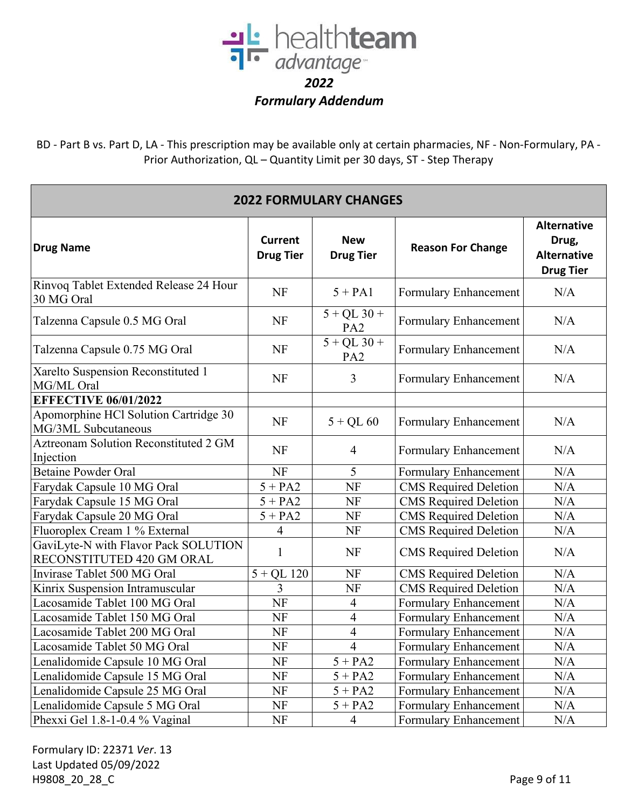

BD - Part B vs. Part D, LA - This prescription may be available only at certain pharmacies, NF - Non-Formulary, PA - Prior Authorization, QL – Quantity Limit per 30 days, ST - Step Therapy

| <b>2022 FORMULARY CHANGES</b>                                     |                                    |                                  |                              |                                                                       |  |
|-------------------------------------------------------------------|------------------------------------|----------------------------------|------------------------------|-----------------------------------------------------------------------|--|
| <b>Drug Name</b>                                                  | <b>Current</b><br><b>Drug Tier</b> | <b>New</b><br><b>Drug Tier</b>   | <b>Reason For Change</b>     | <b>Alternative</b><br>Drug,<br><b>Alternative</b><br><b>Drug Tier</b> |  |
| Rinvoq Tablet Extended Release 24 Hour<br>30 MG Oral              | <b>NF</b>                          | $5 + PA1$                        | Formulary Enhancement        | N/A                                                                   |  |
| Talzenna Capsule 0.5 MG Oral                                      | <b>NF</b>                          | $5 + QL$ 30 +<br>PA <sub>2</sub> | Formulary Enhancement        | N/A                                                                   |  |
| Talzenna Capsule 0.75 MG Oral                                     | <b>NF</b>                          | $5 + QL$ 30 +<br>PA <sub>2</sub> | Formulary Enhancement        | N/A                                                                   |  |
| Xarelto Suspension Reconstituted 1<br>MG/ML Oral                  | NF                                 | 3                                | Formulary Enhancement        | N/A                                                                   |  |
| <b>EFFECTIVE 06/01/2022</b>                                       |                                    |                                  |                              |                                                                       |  |
| Apomorphine HCl Solution Cartridge 30<br>MG/3ML Subcutaneous      | NF                                 | $5 + QL 60$                      | Formulary Enhancement        | N/A                                                                   |  |
| Aztreonam Solution Reconstituted 2 GM<br>Injection                | NF                                 | $\overline{4}$                   | Formulary Enhancement        | N/A                                                                   |  |
| <b>Betaine Powder Oral</b>                                        | <b>NF</b>                          | 5                                | Formulary Enhancement        | N/A                                                                   |  |
| Farydak Capsule 10 MG Oral                                        | $5 + PA2$                          | <b>NF</b>                        | <b>CMS</b> Required Deletion | N/A                                                                   |  |
| Farydak Capsule 15 MG Oral                                        | $5 + PA2$                          | NF                               | <b>CMS</b> Required Deletion | N/A                                                                   |  |
| Farydak Capsule 20 MG Oral                                        | $5 + PA2$                          | NF                               | <b>CMS</b> Required Deletion | N/A                                                                   |  |
| Fluoroplex Cream 1 % External                                     | 4                                  | <b>NF</b>                        | <b>CMS</b> Required Deletion | N/A                                                                   |  |
| GaviLyte-N with Flavor Pack SOLUTION<br>RECONSTITUTED 420 GM ORAL | 1                                  | <b>NF</b>                        | <b>CMS</b> Required Deletion | N/A                                                                   |  |
| Invirase Tablet 500 MG Oral                                       | $5 + QL$ 120                       | NF                               | <b>CMS</b> Required Deletion | N/A                                                                   |  |
| Kinrix Suspension Intramuscular                                   | 3                                  | NF                               | <b>CMS</b> Required Deletion | N/A                                                                   |  |
| Lacosamide Tablet 100 MG Oral                                     | <b>NF</b>                          | 4                                | <b>Formulary Enhancement</b> | N/A                                                                   |  |
| Lacosamide Tablet 150 MG Oral                                     | <b>NF</b>                          | $\overline{\mathcal{A}}$         | <b>Formulary Enhancement</b> | N/A                                                                   |  |
| Lacosamide Tablet 200 MG Oral                                     | NF                                 | 4                                | Formulary Enhancement        | N/A                                                                   |  |
| Lacosamide Tablet 50 MG Oral                                      | <b>NF</b>                          | $\overline{4}$                   | Formulary Enhancement        | N/A                                                                   |  |
| Lenalidomide Capsule 10 MG Oral                                   | NF                                 | $5 + PA2$                        | Formulary Enhancement        | N/A                                                                   |  |
| Lenalidomide Capsule 15 MG Oral                                   | NF                                 | $5 + PA2$                        | <b>Formulary Enhancement</b> | N/A                                                                   |  |
| Lenalidomide Capsule 25 MG Oral                                   | NF                                 | $5 + PA2$                        | <b>Formulary Enhancement</b> | N/A                                                                   |  |
| Lenalidomide Capsule 5 MG Oral                                    | NF                                 | $5 + PA2$                        | <b>Formulary Enhancement</b> | N/A                                                                   |  |
| Phexxi Gel 1.8-1-0.4 % Vaginal                                    | NF                                 | $\overline{4}$                   | Formulary Enhancement        | N/A                                                                   |  |

Formulary ID: 22371 *Ver*. 13 Last Updated 05/09/2022 H9808\_20\_28\_C Page 9 of 11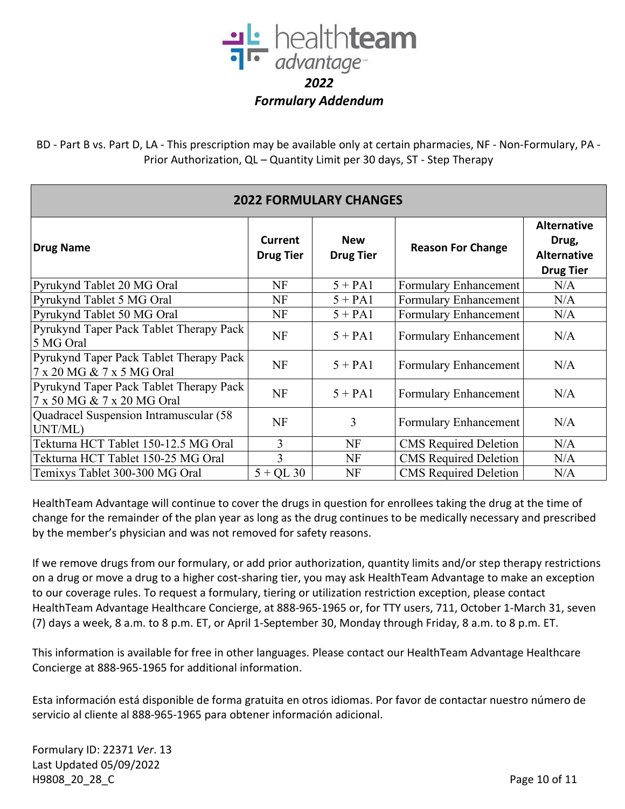

BD - Part B vs. Part D, LA - This prescription may be available only at certain pharmacies, NF - Non-Formulary, PA - Prior Authorization, QL – Quantity Limit per 30 days, ST - Step Therapy

| Drug Name                                                             | Current<br><b>Drug Tier</b> | <b>New</b><br><b>Drug Tier</b> | <b>Reason For Change</b>     | <b>Alternative</b><br>Drug,<br><b>Alternative</b><br><b>Drug Tier</b> |  |
|-----------------------------------------------------------------------|-----------------------------|--------------------------------|------------------------------|-----------------------------------------------------------------------|--|
| Pyrukynd Tablet 20 MG Oral                                            | NF                          | $5 + PA1$                      | <b>Formulary Enhancement</b> | N/A                                                                   |  |
| Pyrukynd Tablet 5 MG Oral                                             | NF                          | $5 + PA1$                      | <b>Formulary Enhancement</b> | N/A                                                                   |  |
| Pyrukynd Tablet 50 MG Oral                                            | NF                          | $5 + PA1$                      | <b>Formulary Enhancement</b> | N/A                                                                   |  |
| Pyrukynd Taper Pack Tablet Therapy Pack<br>5 MG Oral                  | NF                          | $5 + PA1$                      | Formulary Enhancement        | N/A                                                                   |  |
| Pyrukynd Taper Pack Tablet Therapy Pack<br>7 x 20 MG & 7 x 5 MG Oral  | <b>NF</b>                   | $5 + PA1$                      | Formulary Enhancement        | N/A                                                                   |  |
| Pyrukynd Taper Pack Tablet Therapy Pack<br>7 x 50 MG & 7 x 20 MG Oral | <b>NF</b>                   | $5 + PA1$                      | <b>Formulary Enhancement</b> | N/A                                                                   |  |
| Quadracel Suspension Intramuscular (58<br>UNT/ML)                     | <b>NF</b>                   | 3                              | Formulary Enhancement        | N/A                                                                   |  |
| Tekturna HCT Tablet 150-12.5 MG Oral                                  | 3                           | <b>NF</b>                      | <b>CMS</b> Required Deletion | N/A                                                                   |  |
| Tekturna HCT Tablet 150-25 MG Oral                                    | 3                           | <b>NF</b>                      | <b>CMS</b> Required Deletion | N/A                                                                   |  |
| Temixys Tablet 300-300 MG Oral                                        | $5 + QL$ 30                 | <b>NF</b>                      | <b>CMS</b> Required Deletion | N/A                                                                   |  |

## **2022 FORMULARY CHANGES**

HealthTeam Advantage will continue to cover the drugs in question for enrollees taking the drug at the time of change for the remainder of the plan year as long as the drug continues to be medically necessary and prescribed by the member's physician and was not removed for safety reasons.

If we remove drugs from our formulary, or add prior authorization, quantity limits and/or step therapy restrictions on a drug or move a drug to a higher cost-sharing tier, you may ask HealthTeam Advantage to make an exception to our coverage rules. To request a formulary, tiering or utilization restriction exception, please contact HealthTeam Advantage Healthcare Concierge, at 888-965-1965 or, for TTY users, 711, October 1-March 31, seven (7) days a week, 8 a.m. to 8 p.m. ET, or April 1-September 30, Monday through Friday, 8 a.m. to 8 p.m. ET.

This information is available for free in other languages. Please contact our HealthTeam Advantage Healthcare Concierge at 888-965-1965 for additional information.

Esta información está disponible de forma gratuita en otros idiomas. Por favor de contactar nuestro número de servicio al cliente al 888-965-1965 para obtener información adicional.

Formulary ID: 22371 *Ver*. 13 Last Updated 05/09/2022 H9808 20 28 C Page 10 of 11